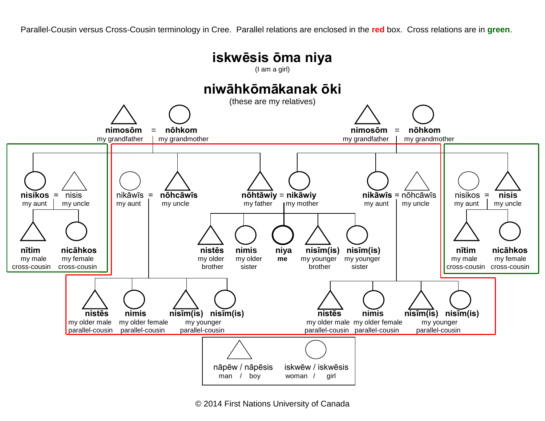Parallel-Cousin versus Cross-Cousin terminology in Cree. Parallel relations are enclosed in the **red** box. Cross relations are in **green**.



© 2014 First Nations University of Canada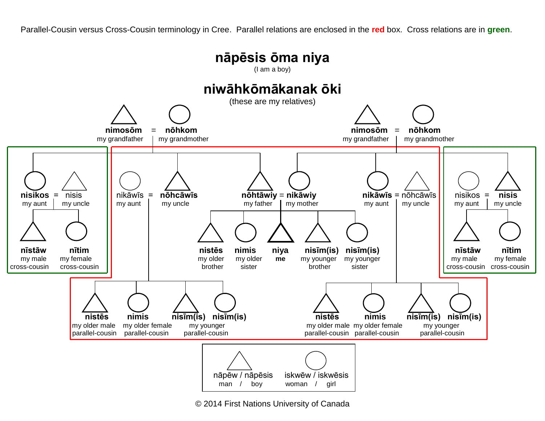Parallel-Cousin versus Cross-Cousin terminology in Cree. Parallel relations are enclosed in the **red** box. Cross relations are in **green**.



© 2014 First Nations University of Canada